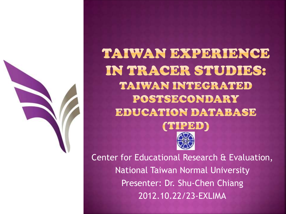

TAIWAN EXPERIENCE IN TRACER STUDIES: TAIWAN INTEGRATED POSTSECONDARY EDUCATION DATABASE



Center for Educational Research & Evaluation, National Taiwan Normal University Presenter: Dr. Shu-Chen Chiang 2012.10.22/23-EXLIMA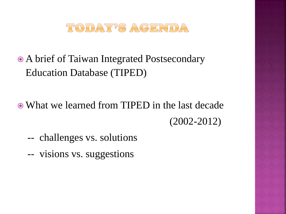

- A brief of Taiwan Integrated Postsecondary Education Database (TIPED)
- What we learned from TIPED in the last decade (2002-2012)
	- -- challenges vs. solutions
	- -- visions vs. suggestions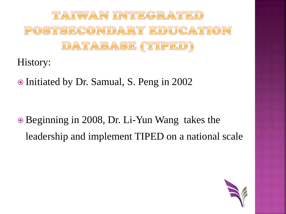

History:

Initiated by Dr. Samual, S. Peng in 2002

 Beginning in 2008, Dr. Li-Yun Wang takes the leadership and implement TIPED on a national scale

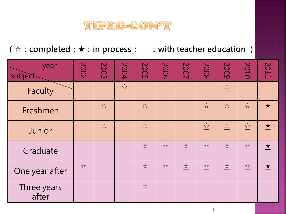

**(☆:completed;★:in process;\_\_\_:with teacher education )**

| year<br>subject      | 2002                 | 2003  | 2004                 | <b>2005</b>                 | 2006                 | 2007                             | 2008                             | 2009                                                            | 2010                                            | 2011                    |
|----------------------|----------------------|-------|----------------------|-----------------------------|----------------------|----------------------------------|----------------------------------|-----------------------------------------------------------------|-------------------------------------------------|-------------------------|
| <b>Faculty</b>       |                      |       | $\frac{1}{\sqrt{2}}$ |                             |                      |                                  |                                  | $\frac{1}{\sqrt{2}}$                                            |                                                 |                         |
| Freshmen             |                      | $z^4$ |                      | $\frac{1}{\sqrt{2}}$        |                      |                                  | $\frac{1}{\sqrt{2}}$             | $x^2$                                                           | $\frac{1}{\sqrt{2}}$                            | $\star$                 |
| Junior               |                      | $z^4$ |                      | $x^2$                       |                      |                                  | $\frac{\sqrt{\lambda}}{\lambda}$ | $\frac{\sum\limits_{i=1}^{n}a_{i}}{\sum\limits_{i=1}^{n}a_{i}}$ | $\frac{\sum_{i=1}^{n} x_i}{\sum_{i=1}^{n} x_i}$ | $\bigstar$              |
| Graduate             |                      |       |                      | $\frac{1}{2}$               | $\frac{1}{\sqrt{2}}$ | $x^2$                            | $x^2$                            | $\frac{1}{2}$                                                   | $\frac{1}{\sqrt{2}}$                            | $\bigstar$              |
| One year after       | $\frac{1}{\sqrt{2}}$ |       |                      | $\frac{1}{2}$               | $\lesssim$           | $\frac{\sqrt{\lambda}}{\lambda}$ | $\frac{\text{M}}{\text{M}}$      | $\frac{\text{M}}{\text{M}}$                                     | $\frac{1}{\sqrt{2}}$                            | $\overline{\mathbf{X}}$ |
| Three years<br>after |                      |       |                      | $\frac{\text{M}}{\text{M}}$ |                      |                                  |                                  |                                                                 |                                                 |                         |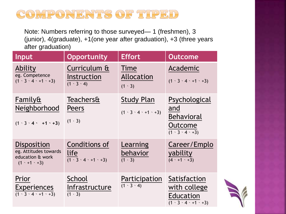## COMPONENTS OF TIPED

Note: Numbers referring to those surveyed— 1 (freshmen), 3 (junior), 4(graduate), +1(one year after graduation), +3 (three years after graduation)

| Input                                                                                      | <b>Opportunity</b>                                                               | <b>Effort</b>                                              | <b>Outcome</b>                                                                     |
|--------------------------------------------------------------------------------------------|----------------------------------------------------------------------------------|------------------------------------------------------------|------------------------------------------------------------------------------------|
| Ability<br>eg. Competence<br>$(1 \cdot 3 \cdot 4 \cdot 1 \cdot 1)$                         | Curriculum &<br>Instruction<br>$(1 \cdot 3 \cdot 4)$                             | Time<br>Allocation<br>$(1 \cdot 3)$                        | Academic<br>$(1 \cdot 3 \cdot 4 \cdot 1 \cdot 1 \cdot 3)$                          |
| Family&<br>Neighborhood<br>$(1 \cdot 3 \cdot 4 \cdot 1 \cdot 1 \cdot 3)$                   | <b>Teachers&amp;</b><br>Peers<br>$(1 \cdot 3)$                                   | <b>Study Plan</b><br>$(1 \cdot 3 \cdot 4 \cdot 1 \cdot 1)$ | Psychological<br>and<br>Behavioral<br>Outcome<br>$(1 \cdot 3 \cdot 4 \cdot 3)$     |
| <b>Disposition</b><br>eg. Attitudes towards<br>education & work<br>$(1 \cdot +1 \cdot +3)$ | Conditions of<br>life<br>$\frac{1}{(1 \cdot 3 \cdot 4 \cdot 1 \cdot 1 \cdot 3)}$ | Learning<br>behavior<br>$(1 \cdot 3)$                      | Career/Emplo<br>yability<br>$(4 \cdot +1 \cdot +3)$                                |
| Prior<br><b>Experiences</b><br>$\overline{(1 \cdot 3 \cdot 4 \cdot 1 \cdot 1 \cdot 3)}$    | School<br>Infrastructure<br>$(1 \cdot 3)$                                        | Participation<br>$(1 \cdot 3 \cdot 4)$                     | Satisfaction<br>with college<br>Education<br>$(1 \cdot 3 \cdot 4 \cdot 1 \cdot 1)$ |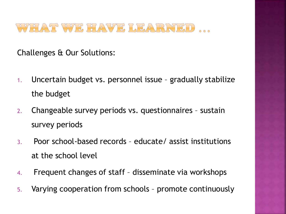WHAT WE HAVE LEARNED

Challenges & Our Solutions:

- 1. Uncertain budget vs. personnel issue gradually stabilize the budget
- 2. Changeable survey periods vs. questionnaires sustain survey periods
- 3. Poor school-based records educate/ assist institutions at the school level
- 4. Frequent changes of staff disseminate via workshops
- 5. Varying cooperation from schools promote continuously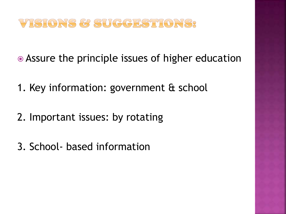## VISIONS & SUCCESTIONS?

- Assure the principle issues of higher education
- 1. Key information: government & school
- 2. Important issues: by rotating
- 3. School- based information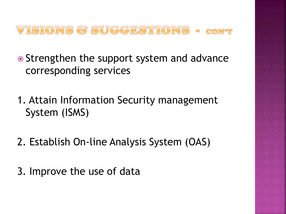

• Strengthen the support system and advance corresponding services

1. Attain Information Security management System (ISMS)

- 2. Establish On-line Analysis System (OAS)
- 3. Improve the use of data